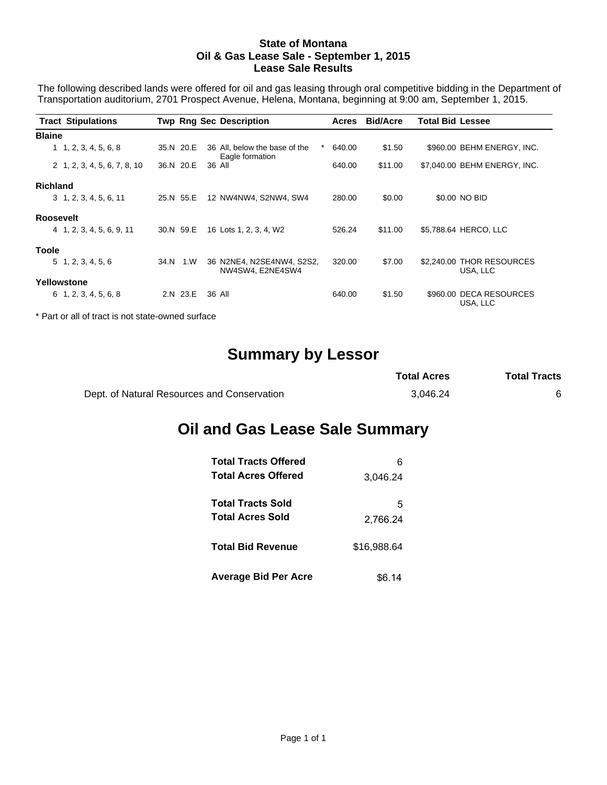#### **State of Montana Oil & Gas Lease Sale - September 1, 2015 Lease Sale Results**

The following described lands were offered for oil and gas leasing through oral competitive bidding in the Department of Transportation auditorium, 2701 Prospect Avenue, Helena, Montana, beginning at 9:00 am, September 1, 2015.

|                  | <b>Tract Stipulations</b>     |           | <b>Twp Rng Sec Description</b>                        | Acres  | <b>Bid/Acre</b> | Total Bid Lessee                      |
|------------------|-------------------------------|-----------|-------------------------------------------------------|--------|-----------------|---------------------------------------|
| <b>Blaine</b>    |                               |           |                                                       |        |                 |                                       |
|                  | 1, 2, 3, 4, 5, 6, 8           | 35.N 20.E | *<br>36 All, below the base of the<br>Eagle formation | 640.00 | \$1.50          | \$960.00 BEHM ENERGY, INC.            |
|                  | 2 1, 2, 3, 4, 5, 6, 7, 8, 10  | 36.N 20.E | 36 All                                                | 640.00 | \$11.00         | \$7,040.00 BEHM ENERGY, INC.          |
| <b>Richland</b>  |                               |           |                                                       |        |                 |                                       |
|                  | $3\quad 1, 2, 3, 4, 5, 6, 11$ | 25.N 55.E | 12 NW4NW4, S2NW4, SW4                                 | 280.00 | \$0.00          | \$0.00 NO BID                         |
| <b>Roosevelt</b> |                               |           |                                                       |        |                 |                                       |
|                  | 4 1, 2, 3, 4, 5, 6, 9, 11     | 30.N 59.E | 16 Lots 1, 2, 3, 4, W2                                | 526.24 | \$11.00         | \$5,788.64 HERCO, LLC                 |
| <b>Toole</b>     |                               |           |                                                       |        |                 |                                       |
|                  | 5, 1, 2, 3, 4, 5, 6           | 34.N 1.W  | 36 N2NE4, N2SE4NW4, S2S2,<br>NW4SW4, E2NE4SW4         | 320.00 | \$7.00          | \$2,240.00 THOR RESOURCES<br>USA, LLC |
|                  | Yellowstone                   |           |                                                       |        |                 |                                       |
|                  | $6\quad 1, 2, 3, 4, 5, 6, 8$  | 2.N 23.E  | 36 All                                                | 640.00 | \$1.50          | \$960.00 DECA RESOURCES<br>USA, LLC   |
|                  |                               |           |                                                       |        |                 |                                       |

\* Part or all of tract is not state-owned surface

# **Summary by Lessor**

|                                             | <b>Total Acres</b> | <b>Total Tracts</b> |
|---------------------------------------------|--------------------|---------------------|
| Dept. of Natural Resources and Conservation | 3.046.24           |                     |

## **Oil and Gas Lease Sale Summary**

| <b>Total Tracts Offered</b> |             |
|-----------------------------|-------------|
| <b>Total Acres Offered</b>  | 3.046.24    |
| <b>Total Tracts Sold</b>    | 5           |
| <b>Total Acres Sold</b>     | 2.766.24    |
| <b>Total Bid Revenue</b>    | \$16,988.64 |
| <b>Average Bid Per Acre</b> | \$6.14      |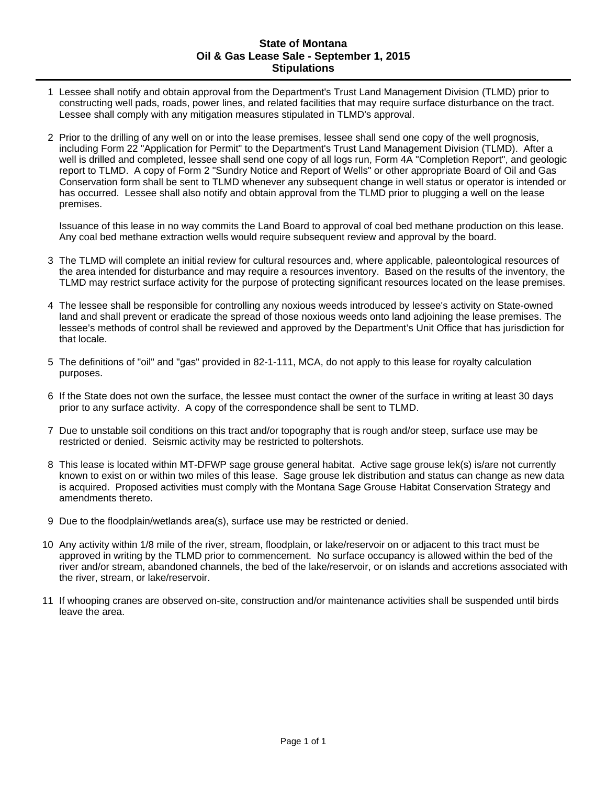#### **State of Montana Oil & Gas Lease Sale - September 1, 2015 Stipulations**

- 1 Lessee shall notify and obtain approval from the Department's Trust Land Management Division (TLMD) prior to constructing well pads, roads, power lines, and related facilities that may require surface disturbance on the tract. Lessee shall comply with any mitigation measures stipulated in TLMD's approval.
- 2 Prior to the drilling of any well on or into the lease premises, lessee shall send one copy of the well prognosis, including Form 22 "Application for Permit" to the Department's Trust Land Management Division (TLMD). After a well is drilled and completed, lessee shall send one copy of all logs run, Form 4A "Completion Report", and geologic report to TLMD. A copy of Form 2 "Sundry Notice and Report of Wells" or other appropriate Board of Oil and Gas Conservation form shall be sent to TLMD whenever any subsequent change in well status or operator is intended or has occurred. Lessee shall also notify and obtain approval from the TLMD prior to plugging a well on the lease premises.

Issuance of this lease in no way commits the Land Board to approval of coal bed methane production on this lease. Any coal bed methane extraction wells would require subsequent review and approval by the board.

- 3 The TLMD will complete an initial review for cultural resources and, where applicable, paleontological resources of the area intended for disturbance and may require a resources inventory. Based on the results of the inventory, the TLMD may restrict surface activity for the purpose of protecting significant resources located on the lease premises.
- 4 The lessee shall be responsible for controlling any noxious weeds introduced by lessee's activity on State-owned land and shall prevent or eradicate the spread of those noxious weeds onto land adjoining the lease premises. The lessee's methods of control shall be reviewed and approved by the Department's Unit Office that has jurisdiction for that locale.
- 5 The definitions of "oil" and "gas" provided in 82-1-111, MCA, do not apply to this lease for royalty calculation purposes.
- 6 If the State does not own the surface, the lessee must contact the owner of the surface in writing at least 30 days prior to any surface activity. A copy of the correspondence shall be sent to TLMD.
- 7 Due to unstable soil conditions on this tract and/or topography that is rough and/or steep, surface use may be restricted or denied. Seismic activity may be restricted to poltershots.
- 8 This lease is located within MT-DFWP sage grouse general habitat. Active sage grouse lek(s) is/are not currently known to exist on or within two miles of this lease. Sage grouse lek distribution and status can change as new data is acquired. Proposed activities must comply with the Montana Sage Grouse Habitat Conservation Strategy and amendments thereto.
- 9 Due to the floodplain/wetlands area(s), surface use may be restricted or denied.
- 10 Any activity within 1/8 mile of the river, stream, floodplain, or lake/reservoir on or adjacent to this tract must be approved in writing by the TLMD prior to commencement. No surface occupancy is allowed within the bed of the river and/or stream, abandoned channels, the bed of the lake/reservoir, or on islands and accretions associated with the river, stream, or lake/reservoir.
- 11 If whooping cranes are observed on-site, construction and/or maintenance activities shall be suspended until birds leave the area.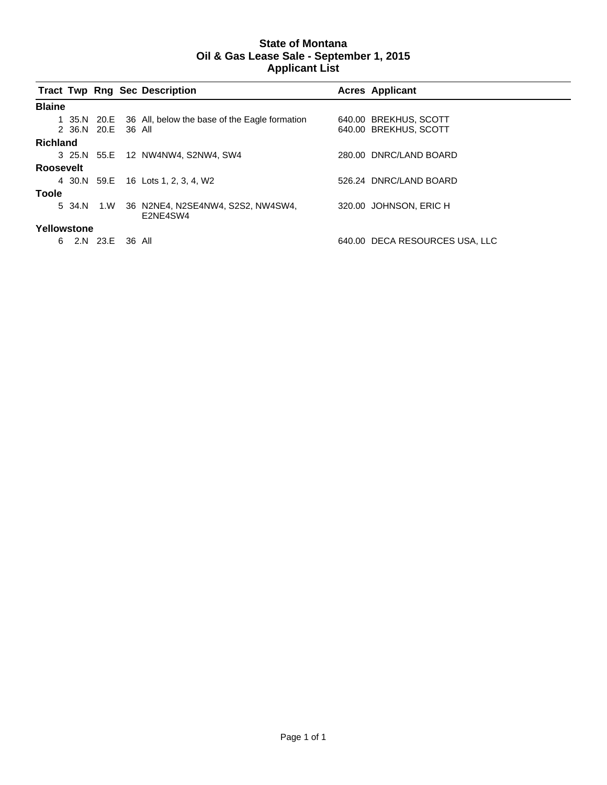#### **State of Montana Oil & Gas Lease Sale - September 1, 2015 Applicant List**

|                 |                    | <b>Tract Twp Rng Sec Description</b>                      | <b>Acres Applicant</b>         |
|-----------------|--------------------|-----------------------------------------------------------|--------------------------------|
| <b>Blaine</b>   |                    |                                                           |                                |
|                 |                    | 1 35.N 20.E 36 All, below the base of the Eagle formation | 640.00 BREKHUS, SCOTT          |
|                 | 2 36.N 20.E 36 All |                                                           | 640.00 BREKHUS, SCOTT          |
| <b>Richland</b> |                    |                                                           |                                |
|                 |                    | 3 25.N 55.E 12 NW4NW4, S2NW4, SW4                         | 280.00 DNRC/LAND BOARD         |
| Roosevelt       |                    |                                                           |                                |
|                 |                    | 4 30.N 59.E 16 Lots 1, 2, 3, 4, W2                        | 526.24 DNRC/LAND BOARD         |
| Toole           |                    |                                                           |                                |
|                 | 5 34.N 1.W         | 36 N2NE4, N2SE4NW4, S2S2, NW4SW4,<br>E2NE4SW4             | 320.00 JOHNSON, ERIC H         |
| Yellowstone     |                    |                                                           |                                |
| 6               | 2.N 23.E 36 All    |                                                           | 640.00 DECA RESOURCES USA, LLC |